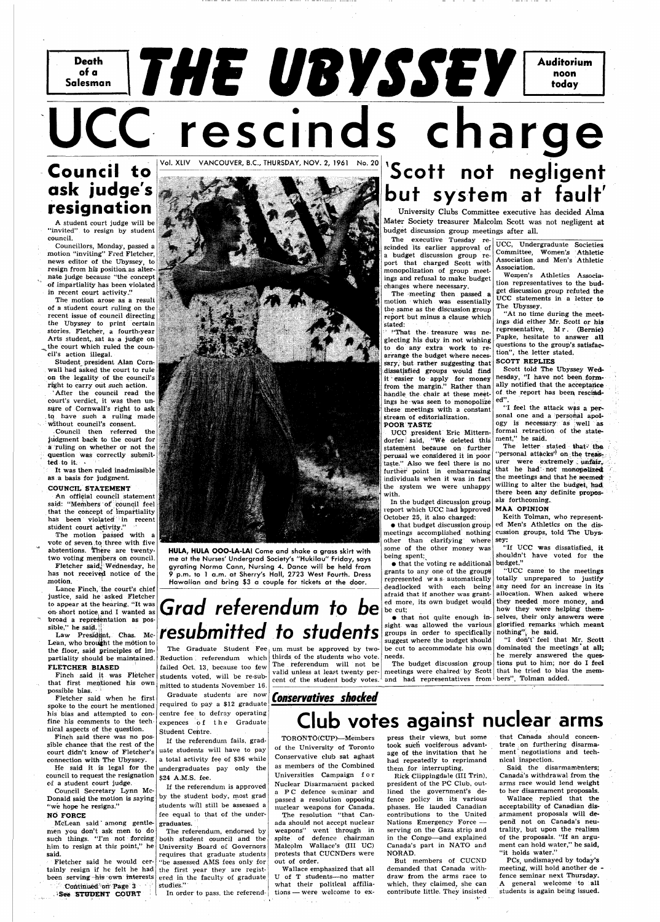## **Scott not negligent but system at fault'**

University Clubs Committee executive has decided Alma Mater Society treasurer Malcolm Scott was not negligent at budget discussion group meetings after all.

## **Council to ask judge's resignation**

A student court judge will be "invited" to resign by student council.

Councillors, Monday, passed a motion "inviting" Fred Fletcher, news editor of the Ubyssey, to resign from his position as alternate judge because "the concept of impartiality has been violated. in recent court activity."

Council then referred the judgment back to the court for a ruling on whether or not the question was correctly submitted to it.

The motion arose as a result of a student court ruling on the recent issue of council directing the Ubyssey to print certain stories. Fletcher, a fourth-year Arts student,, sat as *a* judge on the court which ruled the council's action illegal.

An official council statement said: "Members of council feel that the concept of impartiality has been violated in recent student court activity."

Lance Finch, the court's chief justice, said he asked Fletcher to appear at the hearing. "It was on- short notice, and I wanted as broad a representation as possible," he said.

Student president Alan Cornwall had asked the court to rule on the legality of the council's *tight* to carry out such action.

'After the council read the court's verdict, it was then unsure of Cornwall's right to ask , tq have such a ruling made without council's consent.

that first mentioned his own possible bias.

It was then ruled inadmissible as a basis for judgment.

Council Secretary Lynn Mc-"we hope he resigns."

#### **COUNCIL STATEMENT**

## **Death of a Salesman** *THE* UBYSSEY **Auditorium** noon **noon today UCC rescinds charge**  Vol. XLIV VANCOUVER, B.C., THURSDAY, NOV. 2, 1961 No. 20

The motion passed with a vote of seven to three with five abstentions. There are twentytwo voting members on council. Fletcher said, Wednesday, he has not received notice of the motion.

> The Graduate Student Fee<sub> l</sub>um must be approved by two-Reduction referendum which thirds of the students who vote. failed Oct. 13, because too few  $\boxed{\text{The referendum will not be}}$ students voted, will be re-sub-

Law President, Chas. Mc-Lean, who brought the motion to the floor, said principles of impartiality should be maintained. **FLETCHER BIASED** 

Finch said it was Fletcher



Fletcher said when he first spoke to the court he mentioned his bias and attempted to confine his comments to the technical aspects of the question.

Finch said there was no possible chance that the rest of the court didn't know of Fletcher's connection with The Ubyssey.

He said it is legal for the council to request the resignation of a student court judge.

#### NO **FORCE**

*''That the treasure was ne*glecting his duty in not wishing to do any extra work to rearrange the budget where necessary, but rather suggesting that SCOTT REPLIES dissatisfied groups would find it easier to apply for money handle the chair at these meetings he was seen to monopolize  $|ed''$ . these meetings with a constant stream of editorialization. **POOR TASTE** 

McLean said' among gentlemen you don't ask men to do such things. "I'm not forcing him to resign at this point," he said.

UCC president Eric Mitterndorfer said, "We deleted this ment," he said. statement because on further perusal we considered it in poor taste." Also we feel there is no further point in embarrassing individuals when it was in fact the system we were unhappy with.

Fletcher said he would certainly resign if he felt he had been serving -his own interests Continued on Page 3 **-See STUDENT COURT** 

**HULA, HULA OOO-LA-LA!** Come and shake a grass skirt with me at the Nurses' Undergrad Society's "Hukilau" Friday, says gyrating Norma Cann, Nursing 4. Dance will be held from 9 p.m. to 1 a.m. at Sherry's Hall, 2723 West Fourth. Dress Hawaiian and bring \$3 a couple for tickets at the door.

Donald said the motion is saying by the student body, most grad If the referendum is approved students will still be assessed a fee equal to that of the undergraduates.

## **Grad referendum to be resubmitted to students**

from the margin." Rather than ally notified that the acceptance Scott told The Ubyssey Wednesday, "I have not been formof the report has been rescind-

"I feel the attack was a personal one and a personal apology is necessary: as well as formal retraction of the state-

mitted to students November 16. Graduate students are now required to pay a \$12 graduate centre fee to defray operating expences of the Graduate Student Centre.

The letter stated that  $the$ 'personal attacks' on the treasurer were extremely unfair, that he had; not monopolized the meetings and that he seemedr willing to alter the budget, had. there been any definite proposals forthcoming.

If the referendum fails, graduate students will have to pay a total activity fee of \$36 while undergraduates pay only the \$24 A.M.S. fee.

"If UCC was dissatisfied, it shouldn't have voted for the

ed more, its own budget would they needed more money, and  $\bullet$  that not quite enough in- selves, their only answers were sight was allowed the various glorified remarks *\* which meant "UCC came to the meetings totally unprepared to justify any need for an increase in its allocation. When asked where how they were helping themnothing"; he said.

be cut to accommodate his own dominated the meetings at all; The budget discussion group tions put to him; nor do I feel meetings were chaired by Scott that he tried to bias the mem-"I don't feel that Mr. Scott he merely answered the ques-

The referendum, endorsed by both student council and the University Board of Governors requires that graduate students "be assessed AMS fees only for the first year they are registered ih the faculty of graduate studies."

In order to pass, the referend-

cent of the student body votes. and had representatives from bers", Tolman added.

valid unless at least twenty per-

The executive Tuesday rescinded its earlier approval of a budget discussion group report that charged Scott with monopolization of group meetings ahd refusal to.make budget changes where necessary.

The meeting then passed a motion which was essentially the same as the discussion group report but minus a clause which stated:

In the budget discussion group report which UCC had approved MAA OPINION October 25, it also charged:

• that budget discussion group meetings accomplished nothing other than clarifying where sey: some of the other money was being spent;

• that the voting re additional budget." grants to any one of the groups represented w a s automatically deadlocked with each being afraid that if another was grantbe cut;

groups in order to specifically suggest where the budget should needs.

UCC, Undergraduate Societies Committee, Women's Athletic-Association and Men's Athletic Association.

Women's Athletics Association representatives to the budget discussion group refuted the UCC statements in a letter to The Ubyssey.

"At no time during the meetings did either Mr. Scott or his representative, Mr . (Bernie) Papke, hesitate to answer all questions to the group's satisfaction", the letter stated.

Keith Tolman, who represented Men's Athletics on the discussion groups, told The Ubys-

## *Conservatives shocked*

## **Club votes against nuclear arms**

TORONT0(CUP>—Members of the University of Toronto Conservative club sat aghast as members bf the Combined Universities Campaign fo r Nuclear Disarmament packed a PC defence seminar and passed a resolution opposing nuclear weapons for Canada. The resolution "that Canada should not accept nuclear weapons" went through in spite of defence chairman Malcolm Wallace's (III UC) protests that CUCNDers were out of order.

Wallace emphasized that all U of T students—no matter what their political affiliations — were welcome to express their views, but some took such vociferous advantage of the invitation that he had repeatedly to reprimand them for interrupting.

Rick Clippingdale (III Trin), president of the PC Club, outlined the government's defence policy in its various phases. He lauded Canadian contributions to the United Nations Emergency Force serving on the Gaza strip and in the Congo—and explained Canada's part in NATO and NORAD.

But members of CUCND demanded that Canada withdraw from the arms race to which, they claimed, she can contribute little. They insisted

that Canada should concentrate on furthering disarmament negotiations and technical inspection.

Said; the disarmamenters: Canada's withdrawal from the arms race would lend weight to her disarmament proposals.

Wallace replied that the acceptability of Canadian disarmament proposals will depend not on Canada's neutrality, but upon the realism of the proposals. "If an argument can hold water," he said, "it holds water."

PCs, undismayed by today's meeting, will hold another de fence seminar next Thursday. A general welcome to all students is again being issued.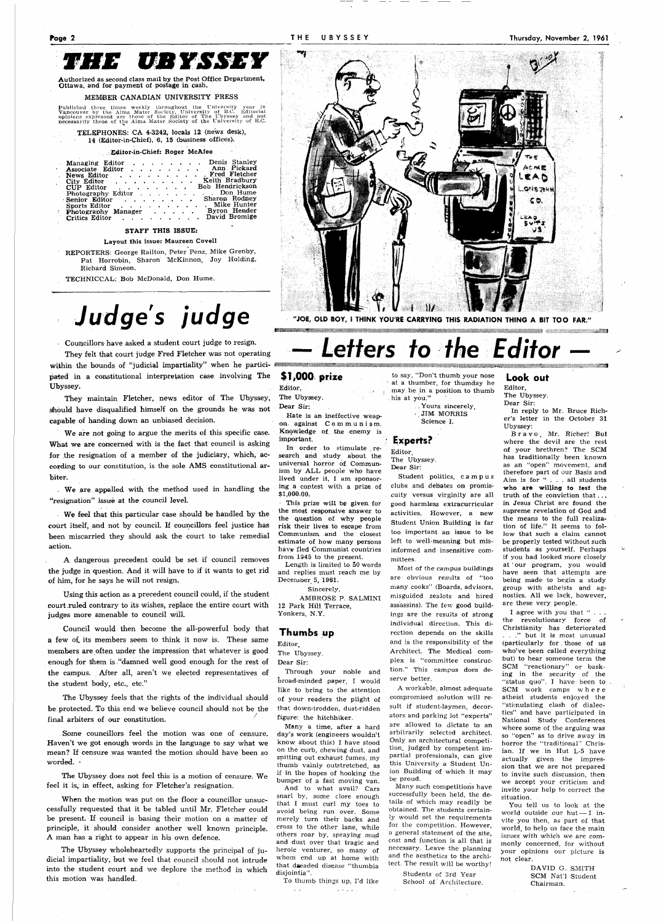the student body, etc., etc."



Authorized as second class mail by the Post Office Department, Ottawa, and for payment of postage in cash.

#### MEMBER CANADIAN UNIVERSITY PRESS

Published three times weekly throughout the University year in<br>Vancouver by the Alma Mater Society, University of B.C. Editorial<br>opinions expressed are those of the Editor of The Ubyssey and not<br>necessarily those of the Al

#### TELEPHONES: CA 4-3242, locals 12 (news desk), 14 (Editor-in-Chief), 6, 15 (business offices).

#### Editor-in-Chief: Roger McAfee

They felt that court judge Fred Fletcher was not operating within the bounds of "judicial impartiality" when he participated in a constitutional interpretation case involving The Ubyssey.

They maintain Fletcher, news editor of The Ubyssey, should have disqualified himself on the grounds he was not capable of handing down an unbiased decision.

|    | . Denis Stanley<br>Managing Editor                         |
|----|------------------------------------------------------------|
| ×. | Associate Editor Ann Pickard                               |
|    | . Fred Fletcher<br>News Editor                             |
|    | City Editor Keith Bradbury                                 |
|    | Bob Hendrickson<br>$CUP$ Editor $\ldots$ $\ldots$ $\ldots$ |
|    | Photography Editor Don Hume                                |
|    | Senior Editor Sharon Rodney                                |
|    | Sports Editor Mike Hunter                                  |
|    | Photography Manager Byron Hender                           |
|    | David Bromige<br>Critics Editor                            |
|    |                                                            |

#### STAFF THIS ISSUE:

We are not going to argue the merits of this specific case. What we are concerned with is the fact that council is asking for the resignation of a member of the judiciary, which, according to our constitution, is the sole AMS constitutional arbiter.

- We are appalled with the method used in handling the "resignation" issue at the council level.

#### Layout this issue: Maureen Covell

REPORTERS: George Railton, Peter Penz, Mike Grenby, Pat Horrobin, Sharon McKinnon, Joy Holding, Richard Simeon.

We feel that this particular case should be handled by the court itself, and not by council. If councillors feel justice has been miscarried they should ask the court to take remedial action.

A dangerous precedent could be set if council removes the judge in question. And it will have to if it wants to get rid of him, for he says he will not resign.

Using this action as a precedent council could, if the student court.ruled contrary to its wishes, replace the entire court with judges more amenable to council will.

Council would then become the all-powerful body that a few of, its members seem to think it now is. These same members are often under the impression that whatever is good enough for them is "damned well good enough for the rest of the campus. After all, aren't we elected representatives of

TECHNICCAL; Bob McDonald, Don Hume.

## Judge's judge

Councillors have asked a student court judge to resign.

The Ubyssey feels that the rights of the individual should be protected. To this end we believe council should not be the final arbiters of our constitution. /

Some councillors feel the motion was one of censure. Haven't we got enough words in the language to say what we mean? If censure was wanted the motion should have been so worded. •

This prize will be given for the most responsive answer to the question of why people risk their lives to escape from Communism and the closest estimate of how many persons have fled Communist countries from 1S45 to the present.

Many a time, after a hard day's work (engineers wouldn't know about this) I have stood on the curb, chewing dust, and spitting out exhaust fumes, my thumb vainly outstretched, as if in the hopes of hooking the bumper of a fast moving van. And to what avail? Cars snarl by, some close enough that I must curl my toes to avoid being run over. Some merely turn their backs and cross to the other lane, while others roar by, spraying mud and dust over that tragic and heroic venturer, so many of whom end up at home with that dreaded disease "thumbia disjointia".

The Ubyssey does not feel this is a motion of censure. We feel it is, in effect, asking for Fletcher's resignation.

When the motion was put on the floor a councillor unsuccessfully requested that it be tabled until Mr. Fletcher could be present. If council is basing their motion on a matter of principle, it should consider another well known principle. A man has a right to appear in his own defence.

The Ubyssey wholeheartedly supports the principal of judicial impartiality, but we feel that council should not intrude into the student court and we deplore the method in which this motion was handled.

**.&&\*.** 



**"JOE, OLD BOY, I THINK YOU'RE CARRYING THIS RADIATION THING A BIT TOO FAR.** 

# Letters to the Editor

*~~i* 

## **\$1,000 prize**

Editor, The Ubyssey. Dear Sir:

Hate is an ineffective weapon, against Communism . Knowledge of the enemy is important.

In order to stimulate . research and study about the universal horror of Communism by ALL people who have lived under it, I am sponsoring a contest with a prize of \$1,000.00.

> I agree with you that " the revolutionary force of Christianity has deteriorated . . ." but it is most unusual (particularly for , those of us who've been called everything but) to hear someone term the SCM "reactionary" or basking in the security of the "status quo". I have been to SCM work camps wher e atheist students enjoyed the "stimulating clash of dialectics" and have participated in National Study Conferences where some of. the arguing was so "open" as to drive away in horror the "traditional'' Chrisian. If we in Hut L-5 have actually given the impression that we are not prepared to invite such discussion, then we accept your criticism and invite your help to correct the situation. You tell us to look at the world outside our hut — I invite you then, as part of that world, to help us face the main issues with which we are commonly concerned, for without your opinions our picture is not clear.

Length is limited to 50 words and replies must reach me by December 5, 1961. Sincerely,

AMBROSE P. SALMINI 12 Park Hill Terrace, Yonkers, N.Y.

#### **Thumbs up**

Editor,

The Ubyssey. Dear Sir:

Through your noble and

broad-minded paper, I would like to bring to the attention of your readers the plight of that down-trodden, dust-ridden figure: the hitchhiker.

To thumb things up, I'd like

contractors.

 $\epsilon$  .  $\epsilon$ 

 $\sim$   $\chi$ 

to say, "Don't thumb your nose at a thumber, for thumday he may be in a position to thumb his at you." .Yours sincerely,

• , JIM. MORRIS Science I.

## **Experts?**

Editor, The Ubyssey. Dear Sir:

Student politics, campu s clubs and debates on promiscuity versus virginity are all good harmless extracurricular activities. However, a new Student Union Building is far too important an issue to be left to well-meaning but misinformed and insensitive committees.

Most of the campus buildings are obvious results of "too many cooks" (Boards, advisors, misguided zealots and hired assassins). The few good buildings are the results of strong individual direction. This direction depends on the skills and is the responsibility of the Architect. The Medical complex is "committee construction." This campus does de-

serve better.

A workable, almost adequate compromised solution will result if student-laymen, decorators and parking lot "experts " are allowed to dictate to an arbitrarily selected architect. Only an architectural competition, judged by competent impartial professionals, can give this University a Student Union Building of which it may be proud.

Many such competitions have successfully been held, the details of which may readily be obtained. The students certainly would set the requirements for the competition. However, a general statement of the site, cost and function is all that is necessary. Leave the planning and the aesthetics to the architect. The result will be worthy!

> Students of 3rd Year School of' Architecture.

**Look out**  Editor, The Ubyssey. Dear Sir:

In reply to Mr. Bruce Richer's letter in the October 31 Ubyssey:

Bravo , Mr. Richer! But where the devil are the rest of your brethren? The SCM has traditionally been known as an "open" movement, and therefore part of our Basis and Aim is for ".. . all students who are willing io test the truth of the conviction that.. . in Jesus Christ are found the supreme revelation of God and the means to the full realization of life." It seems to follow that such a claim cannot be properly tested without such students as yourself. Perhaps if you had looked more closely at ' our program, you would have seen that attempts are being made to begin a study group with atheists and agnostics. All we lack, however, are these very people.

> DAVID G. SMITH SCM Nat'l Student Chairman.